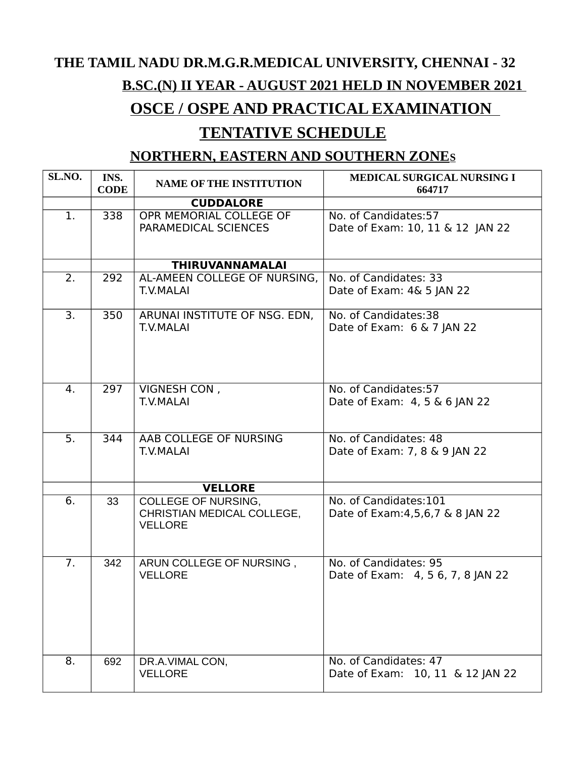# **THE TAMIL NADU DR.M.G.R.MEDICAL UNIVERSITY, CHENNAI - 32 B.SC.(N) II YEAR - AUGUST 2021 HELD IN NOVEMBER 2021**

## **OSCE / OSPE AND PRACTICAL EXAMINATION**

### **TENTATIVE SCHEDULE**

#### **NORTHERN, EASTERN AND SOUTHERN ZONES**

| SL.NO. | INS.<br><b>CODE</b> | <b>NAME OF THE INSTITUTION</b>                                      | <b>MEDICAL SURGICAL NURSING I</b><br>664717                  |
|--------|---------------------|---------------------------------------------------------------------|--------------------------------------------------------------|
|        |                     | <b>CUDDALORE</b>                                                    |                                                              |
| 1.     | 338                 | OPR MEMORIAL COLLEGE OF<br>PARAMEDICAL SCIENCES                     | No. of Candidates:57<br>Date of Exam: 10, 11 & 12 JAN 22     |
|        |                     | <b>THIRUVANNAMALAI</b>                                              |                                                              |
| 2.     | 292                 | AL-AMEEN COLLEGE OF NURSING,<br>T.V.MALAI                           | No. of Candidates: 33<br>Date of Exam: 4& 5 JAN 22           |
| 3.     | 350                 | ARUNAI INSTITUTE OF NSG. EDN,<br><b>T.V.MALAI</b>                   | No. of Candidates:38<br>Date of Exam: 6 & 7 JAN 22           |
| 4.     | 297                 | VIGNESH CON,<br>T.V.MALAI                                           | No. of Candidates: 57<br>Date of Exam: 4, 5 & 6 JAN 22       |
| 5.     | 344                 | AAB COLLEGE OF NURSING<br><b>T.V.MALAI</b>                          | No. of Candidates: 48<br>Date of Exam: 7, 8 & 9 JAN 22       |
|        |                     | <b>VELLORE</b>                                                      |                                                              |
| 6.     | 33                  | COLLEGE OF NURSING,<br>CHRISTIAN MEDICAL COLLEGE,<br><b>VELLORE</b> | No. of Candidates:101<br>Date of Exam: 4, 5, 6, 7 & 8 JAN 22 |
| 7.     | 342                 | ARUN COLLEGE OF NURSING,<br><b>VELLORE</b>                          | No. of Candidates: 95<br>Date of Exam: 4, 5 6, 7, 8 JAN 22   |
| 8.     | 692                 | DR.A.VIMAL CON,<br><b>VELLORE</b>                                   | No. of Candidates: 47<br>Date of Exam: 10, 11 & 12 JAN 22    |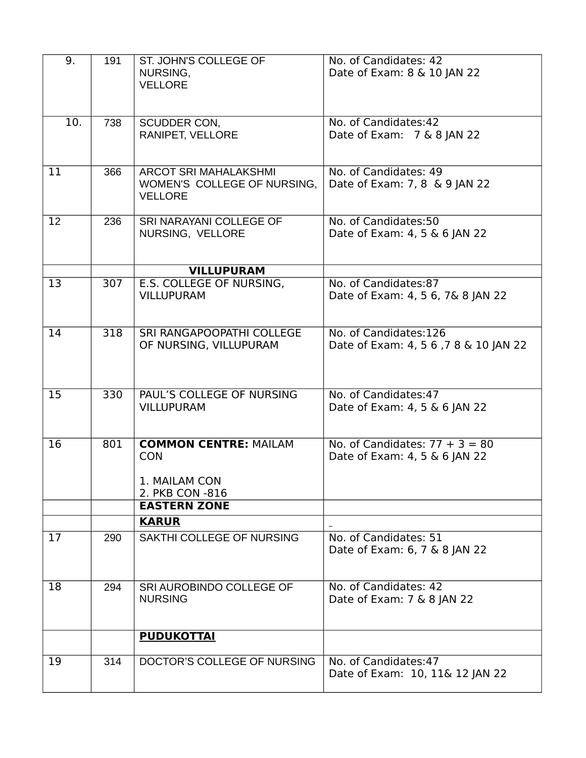| No. of Candidates: 42<br>10.<br>738<br><b>SCUDDER CON,</b><br>Date of Exam: 7 & 8 JAN 22<br>RANIPET, VELLORE<br>No. of Candidates: 49<br>11<br>366<br>ARCOT SRI MAHALAKSHMI<br>Date of Exam: 7, 8 & 9 JAN 22<br>WOMEN'S COLLEGE OF NURSING,<br><b>VELLORE</b><br>No. of Candidates:50<br>$12 \overline{ }$<br>236<br>SRI NARAYANI COLLEGE OF<br>NURSING, VELLORE<br>Date of Exam: 4, 5 & 6 JAN 22<br><b>VILLUPURAM</b><br>No. of Candidates:87<br>13<br>307<br>E.S. COLLEGE OF NURSING,<br><b>VILLUPURAM</b><br>Date of Exam: 4, 5 6, 7& 8 JAN 22<br>No. of Candidates:126<br>14<br>318<br>SRI RANGAPOOPATHI COLLEGE<br>OF NURSING, VILLUPURAM<br>Date of Exam: 4, 5 6, 7 8 & 10 JAN 22<br>PAUL'S COLLEGE OF NURSING<br>No. of Candidates:47<br>15<br>330<br><b>VILLUPURAM</b><br>Date of Exam: 4, 5 & 6 JAN 22<br><b>COMMON CENTRE: MAILAM</b><br>No. of Candidates: $77 + 3 = 80$<br>16<br>801<br><b>CON</b><br>Date of Exam: 4, 5 & 6 JAN 22<br>1. MAILAM CON<br>2. PKB CON -816<br><b>EASTERN ZONE</b><br><b>KARUR</b><br>No. of Candidates: 51<br>17<br>SAKTHI COLLEGE OF NURSING<br>290<br>Date of Exam: 6, 7 & 8 JAN 22<br>No. of Candidates: 42<br>18<br>294<br>SRI AUROBINDO COLLEGE OF<br>Date of Exam: 7 & 8 JAN 22<br><b>NURSING</b><br><b>PUDUKOTTAI</b><br>No. of Candidates: 47<br>19<br>314<br>DOCTOR'S COLLEGE OF NURSING<br>Date of Exam: 10, 11& 12 JAN 22 | 9. | 191 | ST. JOHN'S COLLEGE OF<br>NURSING,<br><b>VELLORE</b> | No. of Candidates: 42<br>Date of Exam: 8 & 10 JAN 22 |
|-------------------------------------------------------------------------------------------------------------------------------------------------------------------------------------------------------------------------------------------------------------------------------------------------------------------------------------------------------------------------------------------------------------------------------------------------------------------------------------------------------------------------------------------------------------------------------------------------------------------------------------------------------------------------------------------------------------------------------------------------------------------------------------------------------------------------------------------------------------------------------------------------------------------------------------------------------------------------------------------------------------------------------------------------------------------------------------------------------------------------------------------------------------------------------------------------------------------------------------------------------------------------------------------------------------------------------------------------------------------------------|----|-----|-----------------------------------------------------|------------------------------------------------------|
|                                                                                                                                                                                                                                                                                                                                                                                                                                                                                                                                                                                                                                                                                                                                                                                                                                                                                                                                                                                                                                                                                                                                                                                                                                                                                                                                                                               |    |     |                                                     |                                                      |
|                                                                                                                                                                                                                                                                                                                                                                                                                                                                                                                                                                                                                                                                                                                                                                                                                                                                                                                                                                                                                                                                                                                                                                                                                                                                                                                                                                               |    |     |                                                     |                                                      |
|                                                                                                                                                                                                                                                                                                                                                                                                                                                                                                                                                                                                                                                                                                                                                                                                                                                                                                                                                                                                                                                                                                                                                                                                                                                                                                                                                                               |    |     |                                                     |                                                      |
|                                                                                                                                                                                                                                                                                                                                                                                                                                                                                                                                                                                                                                                                                                                                                                                                                                                                                                                                                                                                                                                                                                                                                                                                                                                                                                                                                                               |    |     |                                                     |                                                      |
|                                                                                                                                                                                                                                                                                                                                                                                                                                                                                                                                                                                                                                                                                                                                                                                                                                                                                                                                                                                                                                                                                                                                                                                                                                                                                                                                                                               |    |     |                                                     |                                                      |
|                                                                                                                                                                                                                                                                                                                                                                                                                                                                                                                                                                                                                                                                                                                                                                                                                                                                                                                                                                                                                                                                                                                                                                                                                                                                                                                                                                               |    |     |                                                     |                                                      |
|                                                                                                                                                                                                                                                                                                                                                                                                                                                                                                                                                                                                                                                                                                                                                                                                                                                                                                                                                                                                                                                                                                                                                                                                                                                                                                                                                                               |    |     |                                                     |                                                      |
|                                                                                                                                                                                                                                                                                                                                                                                                                                                                                                                                                                                                                                                                                                                                                                                                                                                                                                                                                                                                                                                                                                                                                                                                                                                                                                                                                                               |    |     |                                                     |                                                      |
|                                                                                                                                                                                                                                                                                                                                                                                                                                                                                                                                                                                                                                                                                                                                                                                                                                                                                                                                                                                                                                                                                                                                                                                                                                                                                                                                                                               |    |     |                                                     |                                                      |
|                                                                                                                                                                                                                                                                                                                                                                                                                                                                                                                                                                                                                                                                                                                                                                                                                                                                                                                                                                                                                                                                                                                                                                                                                                                                                                                                                                               |    |     |                                                     |                                                      |
|                                                                                                                                                                                                                                                                                                                                                                                                                                                                                                                                                                                                                                                                                                                                                                                                                                                                                                                                                                                                                                                                                                                                                                                                                                                                                                                                                                               |    |     |                                                     |                                                      |
|                                                                                                                                                                                                                                                                                                                                                                                                                                                                                                                                                                                                                                                                                                                                                                                                                                                                                                                                                                                                                                                                                                                                                                                                                                                                                                                                                                               |    |     |                                                     |                                                      |
|                                                                                                                                                                                                                                                                                                                                                                                                                                                                                                                                                                                                                                                                                                                                                                                                                                                                                                                                                                                                                                                                                                                                                                                                                                                                                                                                                                               |    |     |                                                     |                                                      |
|                                                                                                                                                                                                                                                                                                                                                                                                                                                                                                                                                                                                                                                                                                                                                                                                                                                                                                                                                                                                                                                                                                                                                                                                                                                                                                                                                                               |    |     |                                                     |                                                      |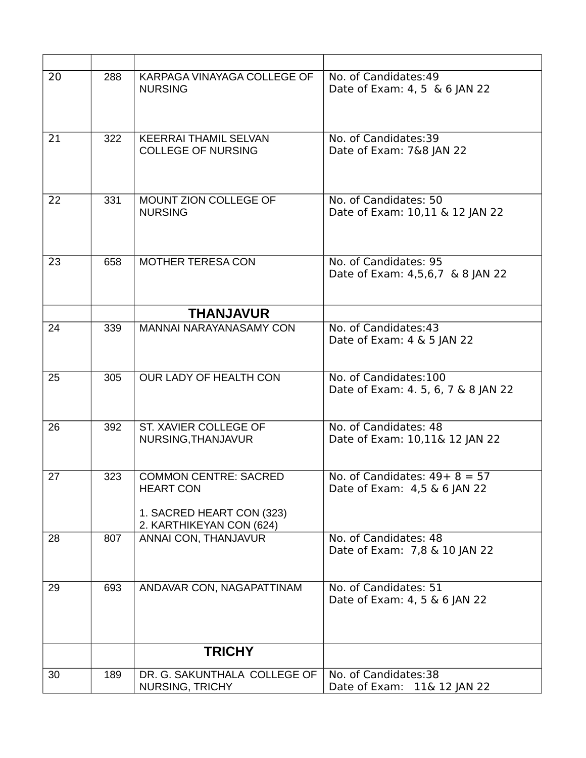| 20 | 288 | KARPAGA VINAYAGA COLLEGE OF<br><b>NURSING</b>                                                             | No. of Candidates:49<br>Date of Exam: 4, 5 & 6 JAN 22        |
|----|-----|-----------------------------------------------------------------------------------------------------------|--------------------------------------------------------------|
| 21 | 322 | <b>KEERRAI THAMIL SELVAN</b><br><b>COLLEGE OF NURSING</b>                                                 | No. of Candidates:39<br>Date of Exam: 7&8 JAN 22             |
| 22 | 331 | MOUNT ZION COLLEGE OF<br><b>NURSING</b>                                                                   | No. of Candidates: 50<br>Date of Exam: 10,11 & 12 JAN 22     |
| 23 | 658 | <b>MOTHER TERESA CON</b>                                                                                  | No. of Candidates: 95<br>Date of Exam: 4,5,6,7 & 8 JAN 22    |
|    |     | <b>THANJAVUR</b>                                                                                          |                                                              |
| 24 | 339 | <b>MANNAI NARAYANASAMY CON</b>                                                                            | No. of Candidates:43<br>Date of Exam: 4 & 5 JAN 22           |
| 25 | 305 | OUR LADY OF HEALTH CON                                                                                    | No. of Candidates:100<br>Date of Exam: 4. 5, 6, 7 & 8 JAN 22 |
| 26 | 392 | ST. XAVIER COLLEGE OF<br>NURSING, THANJAVUR                                                               | No. of Candidates: 48<br>Date of Exam: 10,11& 12 JAN 22      |
| 27 | 323 | <b>COMMON CENTRE: SACRED</b><br><b>HEART CON</b><br>1. SACRED HEART CON (323)<br>2. KARTHIKEYAN CON (624) | No. of Candidates: $49+8=57$<br>Date of Exam: 4,5 & 6 JAN 22 |
| 28 | 807 | ANNAI CON, THANJAVUR                                                                                      | No. of Candidates: 48<br>Date of Exam: 7,8 & 10 JAN 22       |
| 29 | 693 | ANDAVAR CON, NAGAPATTINAM                                                                                 | No. of Candidates: 51<br>Date of Exam: 4, 5 & 6 JAN 22       |
|    |     | <b>TRICHY</b>                                                                                             |                                                              |
| 30 | 189 | DR. G. SAKUNTHALA COLLEGE OF<br>NURSING, TRICHY                                                           | No. of Candidates:38<br>Date of Exam: 11& 12 JAN 22          |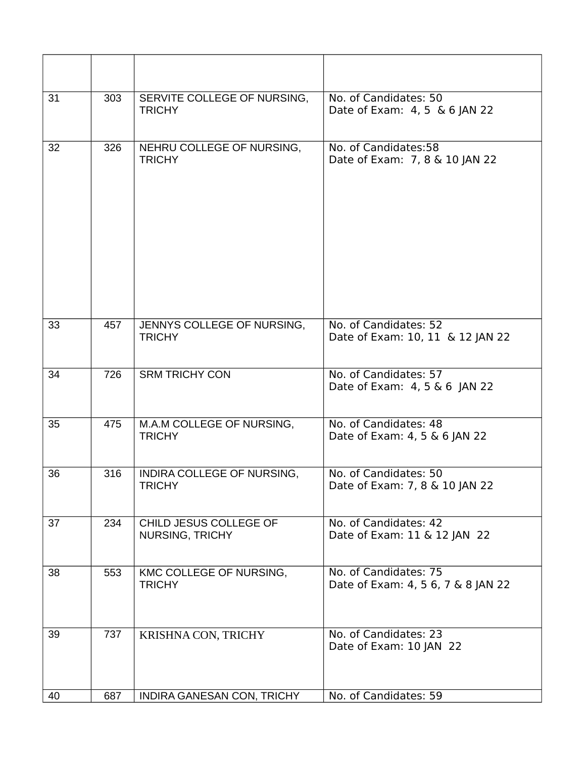| 31 | 303 | SERVITE COLLEGE OF NURSING,<br><b>TRICHY</b>     | No. of Candidates: 50<br>Date of Exam: 4, 5 & 6 JAN 22      |
|----|-----|--------------------------------------------------|-------------------------------------------------------------|
| 32 | 326 | NEHRU COLLEGE OF NURSING,<br><b>TRICHY</b>       | No. of Candidates:58<br>Date of Exam: 7, 8 & 10 JAN 22      |
| 33 | 457 | JENNYS COLLEGE OF NURSING,<br><b>TRICHY</b>      | No. of Candidates: 52<br>Date of Exam: 10, 11 & 12 JAN 22   |
| 34 | 726 | <b>SRM TRICHY CON</b>                            | No. of Candidates: 57<br>Date of Exam: 4, 5 & 6 JAN 22      |
| 35 | 475 | M.A.M COLLEGE OF NURSING,<br><b>TRICHY</b>       | No. of Candidates: 48<br>Date of Exam: 4, 5 & 6 JAN 22      |
| 36 | 316 | INDIRA COLLEGE OF NURSING,<br><b>TRICHY</b>      | No. of Candidates: 50<br>Date of Exam: 7, 8 & 10 JAN 22     |
| 37 | 234 | CHILD JESUS COLLEGE OF<br><b>NURSING, TRICHY</b> | No. of Candidates: 42<br>Date of Exam: 11 & 12 JAN 22       |
| 38 | 553 | KMC COLLEGE OF NURSING,<br><b>TRICHY</b>         | No. of Candidates: 75<br>Date of Exam: 4, 5 6, 7 & 8 JAN 22 |
| 39 | 737 | KRISHNA CON, TRICHY                              | No. of Candidates: 23<br>Date of Exam: 10 JAN 22            |
| 40 | 687 | INDIRA GANESAN CON, TRICHY                       | No. of Candidates: 59                                       |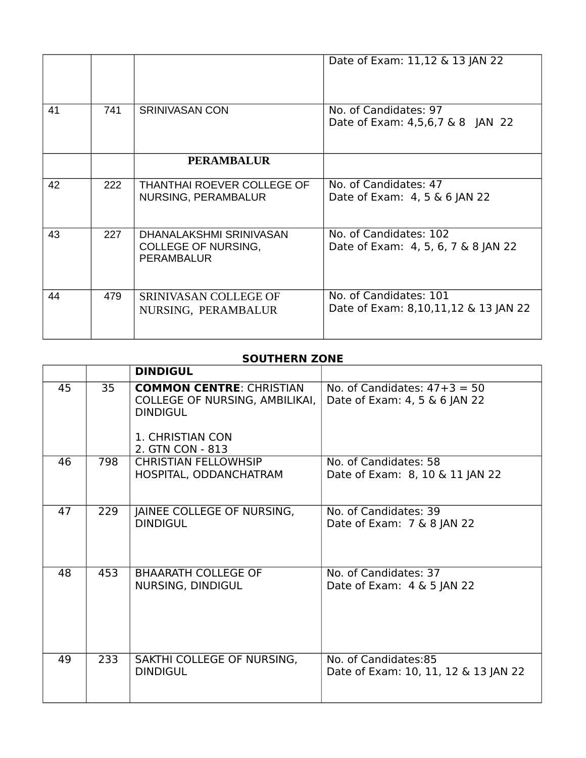|    |     |                                                                            | Date of Exam: 11,12 & 13 JAN 22                                |
|----|-----|----------------------------------------------------------------------------|----------------------------------------------------------------|
| 41 | 741 | <b>SRINIVASAN CON</b>                                                      | No. of Candidates: 97<br>Date of Exam: 4,5,6,7 & 8 JAN 22      |
|    |     | <b>PERAMBALUR</b>                                                          |                                                                |
| 42 | 222 | THANTHAI ROEVER COLLEGE OF<br>NURSING, PERAMBALUR                          | No. of Candidates: 47<br>Date of Exam: 4, 5 & 6 JAN 22         |
| 43 | 227 | DHANALAKSHMI SRINIVASAN<br><b>COLLEGE OF NURSING,</b><br><b>PERAMBALUR</b> | No. of Candidates: 102<br>Date of Exam: 4, 5, 6, 7 & 8 JAN 22  |
| 44 | 479 | SRINIVASAN COLLEGE OF<br>NURSING, PERAMBALUR                               | No. of Candidates: 101<br>Date of Exam: 8,10,11,12 & 13 JAN 22 |

#### **SOUTHERN ZONE**

|    |     | <b>DINDIGUL</b>                                                                                                              |                                                                 |
|----|-----|------------------------------------------------------------------------------------------------------------------------------|-----------------------------------------------------------------|
| 45 | 35  | <b>COMMON CENTRE: CHRISTIAN</b><br>COLLEGE OF NURSING, AMBILIKAI,<br><b>DINDIGUL</b><br>1. CHRISTIAN CON<br>2. GTN CON - 813 | No. of Candidates: $47+3 = 50$<br>Date of Exam: 4, 5 & 6 JAN 22 |
| 46 | 798 | <b>CHRISTIAN FELLOWHSIP</b><br>HOSPITAL, ODDANCHATRAM                                                                        | No. of Candidates: 58<br>Date of Exam: 8, 10 & 11 JAN 22        |
| 47 | 229 | JAINEE COLLEGE OF NURSING,<br><b>DINDIGUL</b>                                                                                | No. of Candidates: 39<br>Date of Exam: 7 & 8 JAN 22             |
| 48 | 453 | <b>BHAARATH COLLEGE OF</b><br>NURSING, DINDIGUL                                                                              | No. of Candidates: 37<br>Date of Exam: $4 \& 5$ JAN 22          |
| 49 | 233 | SAKTHI COLLEGE OF NURSING,<br><b>DINDIGUL</b>                                                                                | No. of Candidates:85<br>Date of Exam: 10, 11, 12 & 13 JAN 22    |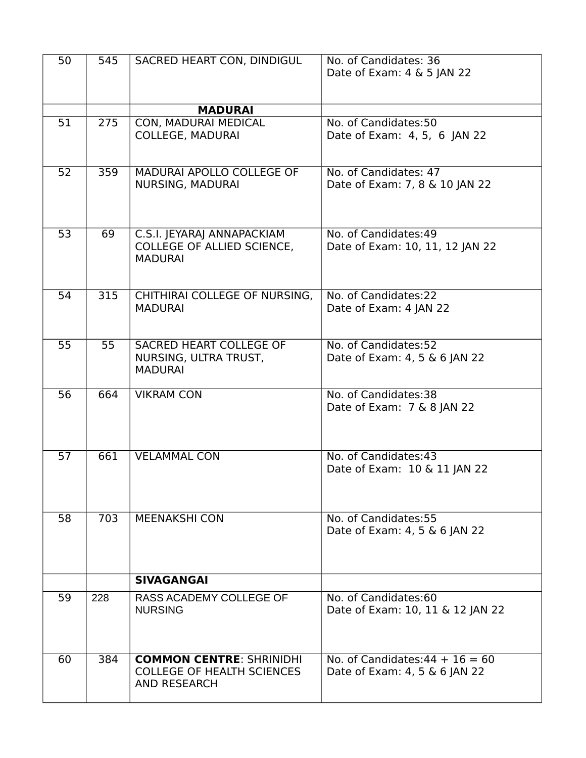| 50 | 545 | SACRED HEART CON, DINDIGUL                                                                  | No. of Candidates: 36<br>Date of Exam: 4 & 5 JAN 22                |
|----|-----|---------------------------------------------------------------------------------------------|--------------------------------------------------------------------|
|    |     | <b>MADURAI</b>                                                                              |                                                                    |
| 51 | 275 | CON, MADURAI MEDICAL<br><b>COLLEGE, MADURAI</b>                                             | No. of Candidates:50<br>Date of Exam: 4, 5, 6 JAN 22               |
| 52 | 359 | MADURAI APOLLO COLLEGE OF<br>NURSING, MADURAI                                               | No. of Candidates: 47<br>Date of Exam: 7, 8 & 10 JAN 22            |
| 53 | 69  | C.S.I. JEYARAJ ANNAPACKIAM<br>COLLEGE OF ALLIED SCIENCE,<br><b>MADURAI</b>                  | No. of Candidates:49<br>Date of Exam: 10, 11, 12 JAN 22            |
| 54 | 315 | CHITHIRAI COLLEGE OF NURSING,<br><b>MADURAI</b>                                             | No. of Candidates:22<br>Date of Exam: 4 JAN 22                     |
| 55 | 55  | SACRED HEART COLLEGE OF<br>NURSING, ULTRA TRUST,<br><b>MADURAI</b>                          | No. of Candidates:52<br>Date of Exam: 4, 5 & 6 JAN 22              |
| 56 | 664 | <b>VIKRAM CON</b>                                                                           | No. of Candidates:38<br>Date of Exam: 7 & 8 JAN 22                 |
| 57 | 661 | <b>VELAMMAL CON</b>                                                                         | No. of Candidates:43<br>Date of Exam: 10 & 11 JAN 22               |
| 58 | 703 | <b>MEENAKSHI CON</b>                                                                        | No. of Candidates: 55<br>Date of Exam: 4, 5 & 6 JAN 22             |
|    |     | <b>SIVAGANGAI</b>                                                                           |                                                                    |
| 59 | 228 | RASS ACADEMY COLLEGE OF<br><b>NURSING</b>                                                   | No. of Candidates:60<br>Date of Exam: 10, 11 & 12 JAN 22           |
| 60 | 384 | <b>COMMON CENTRE: SHRINIDHI</b><br><b>COLLEGE OF HEALTH SCIENCES</b><br><b>AND RESEARCH</b> | No. of Candidates: $44 + 16 = 60$<br>Date of Exam: 4, 5 & 6 JAN 22 |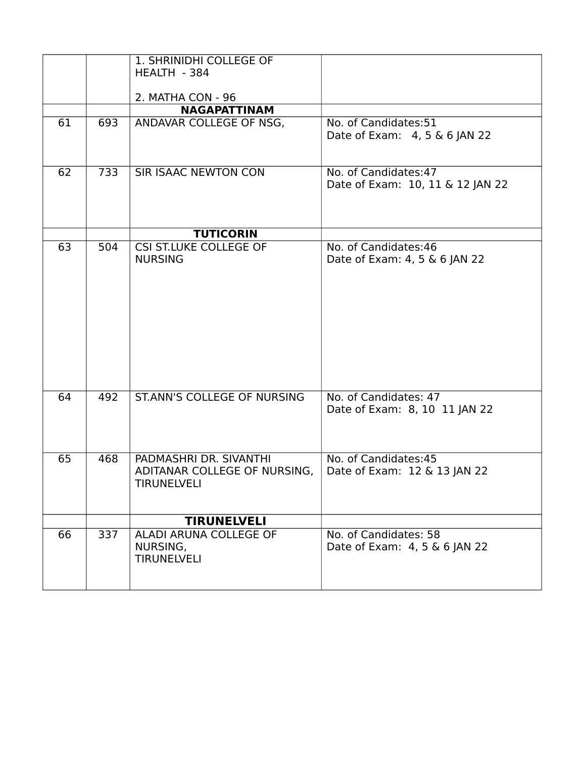| 61 | 693 | 1. SHRINIDHI COLLEGE OF<br>HEALTH - 384<br>2. MATHA CON - 96<br><b>NAGAPATTINAM</b><br>ANDAVAR COLLEGE OF NSG, | No. of Candidates:51<br>Date of Exam: 4, 5 & 6 JAN 22     |
|----|-----|----------------------------------------------------------------------------------------------------------------|-----------------------------------------------------------|
| 62 | 733 | <b>SIR ISAAC NEWTON CON</b>                                                                                    | No. of Candidates: 47<br>Date of Exam: 10, 11 & 12 JAN 22 |
|    |     | <b>TUTICORIN</b>                                                                                               |                                                           |
| 63 | 504 | <b>CSI ST.LUKE COLLEGE OF</b><br><b>NURSING</b>                                                                | No. of Candidates:46<br>Date of Exam: 4, 5 & 6 JAN 22     |
| 64 | 492 | <b>ST.ANN'S COLLEGE OF NURSING</b>                                                                             | No. of Candidates: 47<br>Date of Exam: 8, 10 11 JAN 22    |
| 65 | 468 | PADMASHRI DR. SIVANTHI<br>ADITANAR COLLEGE OF NURSING,<br><b>TIRUNELVELI</b>                                   | No. of Candidates: 45<br>Date of Exam: 12 & 13 JAN 22     |
|    |     | <b>TIRUNELVELI</b>                                                                                             |                                                           |
| 66 | 337 | ALADI ARUNA COLLEGE OF<br>NURSING,<br><b>TIRUNELVELI</b>                                                       | No. of Candidates: 58<br>Date of Exam: 4, 5 & 6 JAN 22    |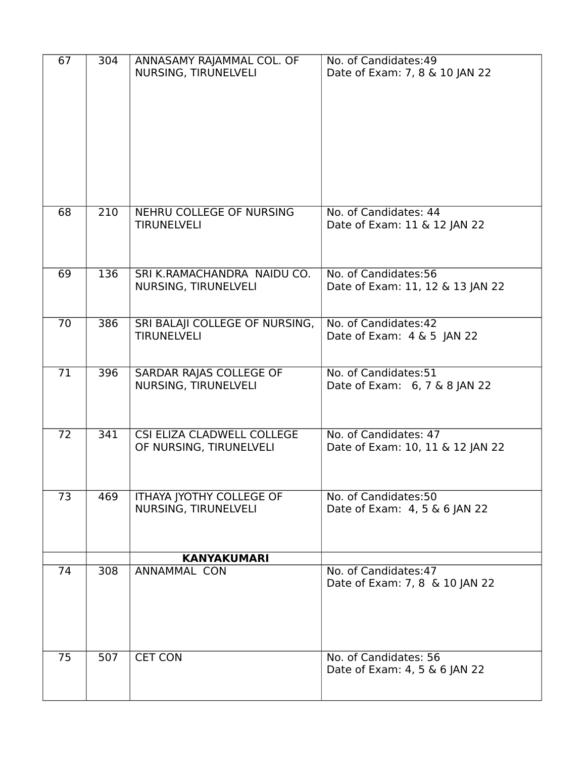| 67 | 304 | ANNASAMY RAJAMMAL COL. OF<br>NURSING, TIRUNELVELI     | No. of Candidates: 49<br>Date of Exam: 7, 8 & 10 JAN 22   |
|----|-----|-------------------------------------------------------|-----------------------------------------------------------|
| 68 | 210 | NEHRU COLLEGE OF NURSING<br><b>TIRUNELVELI</b>        | No. of Candidates: 44<br>Date of Exam: 11 & 12 JAN 22     |
| 69 | 136 | SRI K.RAMACHANDRA NAIDU CO.<br>NURSING, TIRUNELVELI   | No. of Candidates:56<br>Date of Exam: 11, 12 & 13 JAN 22  |
| 70 | 386 | SRI BALAJI COLLEGE OF NURSING,<br><b>TIRUNELVELI</b>  | No. of Candidates: 42<br>Date of Exam: 4 & 5 JAN 22       |
| 71 | 396 | SARDAR RAJAS COLLEGE OF<br>NURSING, TIRUNELVELI       | No. of Candidates:51<br>Date of Exam: 6, 7 & 8 JAN 22     |
| 72 | 341 | CSI ELIZA CLADWELL COLLEGE<br>OF NURSING, TIRUNELVELI | No. of Candidates: 47<br>Date of Exam: 10, 11 & 12 JAN 22 |
| 73 | 469 | ITHAYA JYOTHY COLLEGE OF<br>NURSING, TIRUNELVELI      | No. of Candidates:50<br>Date of Exam: 4, 5 & 6 JAN 22     |
| 74 | 308 | <b>KANYAKUMARI</b><br><b>ANNAMMAL CON</b>             | No. of Candidates: 47                                     |
|    |     |                                                       | Date of Exam: 7, 8 & 10 JAN 22                            |
| 75 | 507 | <b>CET CON</b>                                        | No. of Candidates: 56<br>Date of Exam: 4, 5 & 6 JAN 22    |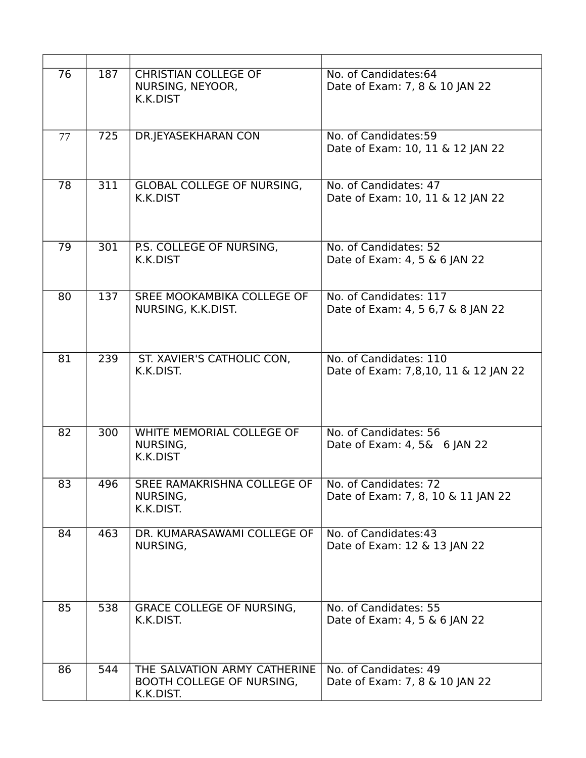| 76 | 187 | <b>CHRISTIAN COLLEGE OF</b><br>NURSING, NEYOOR,<br>K.K.DIST            | No. of Candidates:64<br>Date of Exam: 7, 8 & 10 JAN 22         |
|----|-----|------------------------------------------------------------------------|----------------------------------------------------------------|
| 77 | 725 | DR.JEYASEKHARAN CON                                                    | No. of Candidates: 59<br>Date of Exam: 10, 11 & 12 JAN 22      |
| 78 | 311 | <b>GLOBAL COLLEGE OF NURSING,</b><br>K.K.DIST                          | No. of Candidates: 47<br>Date of Exam: 10, 11 & 12 JAN 22      |
| 79 | 301 | P.S. COLLEGE OF NURSING,<br>K.K.DIST                                   | No. of Candidates: 52<br>Date of Exam: 4, 5 & 6 JAN 22         |
| 80 | 137 | SREE MOOKAMBIKA COLLEGE OF<br>NURSING, K.K.DIST.                       | No. of Candidates: 117<br>Date of Exam: 4, 5 6, 7 & 8 JAN 22   |
| 81 | 239 | ST. XAVIER'S CATHOLIC CON,<br>K.K.DIST.                                | No. of Candidates: 110<br>Date of Exam: 7,8,10, 11 & 12 JAN 22 |
| 82 | 300 | WHITE MEMORIAL COLLEGE OF<br>NURSING,<br>K.K.DIST                      | No. of Candidates: 56<br>Date of Exam: 4, 5& 6 JAN 22          |
| 83 | 496 | SREE RAMAKRISHNA COLLEGE OF  <br>NURSING,<br>K.K.DIST.                 | No. of Candidates: 72<br>Date of Exam: 7, 8, 10 & 11 JAN 22    |
| 84 | 463 | DR. KUMARASAWAMI COLLEGE OF<br>NURSING,                                | No. of Candidates:43<br>Date of Exam: 12 & 13 JAN 22           |
| 85 | 538 | <b>GRACE COLLEGE OF NURSING,</b><br>K.K.DIST.                          | No. of Candidates: 55<br>Date of Exam: 4, 5 & 6 JAN 22         |
| 86 | 544 | THE SALVATION ARMY CATHERINE<br>BOOTH COLLEGE OF NURSING,<br>K.K.DIST. | No. of Candidates: 49<br>Date of Exam: 7, 8 & 10 JAN 22        |